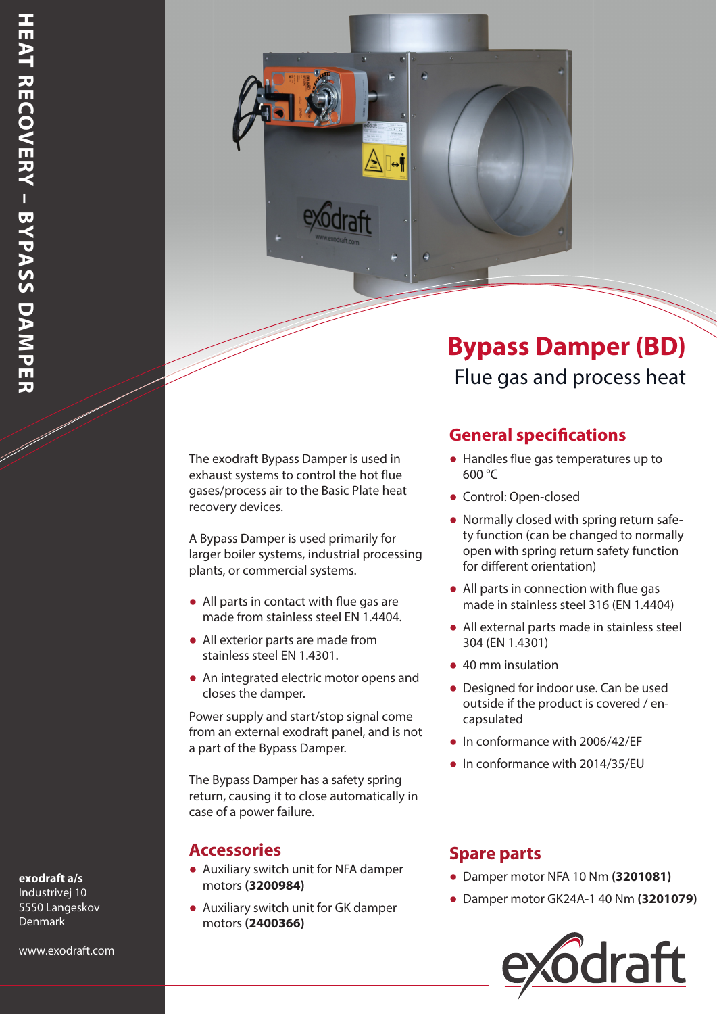The exodraft Bypass Damper is used in exhaust systems to control the hot flue gases/process air to the Basic Plate heat recovery devices.

A Bypass Damper is used primarily for larger boiler systems, industrial processing plants, or commercial systems.

- All parts in contact with flue gas are made from stainless steel EN 1.4404.
- All exterior parts are made from stainless steel EN 1.4301.
- An integrated electric motor opens and closes the damper.

Power supply and start/stop signal come from an external exodraft panel, and is not a part of the Bypass Damper.

The Bypass Damper has a safety spring return, causing it to close automatically in case of a power failure.

#### **Accessories Spare parts**

- Auxiliary switch unit for NFA damper motors **(3200984)**
- Auxiliary switch unit for GK damper motors **(2400366)**

# **Bypass Damper (BD)** Flue gas and process heat

#### **General specifications**

- Handles flue gas temperatures up to 600 °C
- Control: Open-closed
- Normally closed with spring return safety function (can be changed to normally open with spring return safety function for different orientation)
- All parts in connection with flue gas made in stainless steel 316 (EN 1.4404)
- All external parts made in stainless steel 304 (EN 1.4301)
- 40 mm insulation
- Designed for indoor use. Can be used outside if the product is covered / encapsulated
- In conformance with 2006/42/EF
- In conformance with 2014/35/EU

- Damper motor NFA 10 Nm **(3201081)**
- Damper motor GK24A-1 40 Nm **(3201079)**



### **exodraft a/s**

Industrivej 10 5550 Langeskov Denmark

www.exodraft.com